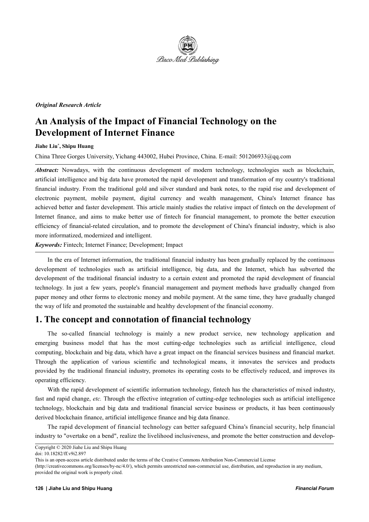

#### *Original Research Article*

# **An Analysis ofthe Impact of Financial Technology on the Development of Internet Finance**

#### **Jiahe Liu \* , Shipu Huang**

China Three Gorges University, Yichang 443002, Hubei Province, China. E-mail: 501206933@qq.com

Abstract: Nowadays, with the continuous development of modern technology, technologies such as blockchain, artificial intelligence and big data have promoted the rapid development and transformation of my country's traditional financial industry. From the traditional gold and silver standard and bank notes, to the rapid rise and development of electronic payment, mobile payment, digital currency and wealth management, China's Internet finance has achieved better and faster development. This article mainly studies the relative impact of fintech on the development of Internet finance, and aims to make better use of fintech for financial management, to promote the better execution efficiency of financial-related circulation, and to promote the development of China's financial industry, which is also more informatized, modernized and intelligent.

*Keywords:* Fintech; Internet Finance; Development; Impact

In the era of Internet information, the traditional financial industry has been gradually replaced by the continuous development of technologies such as artificial intelligence, big data, and the Internet, which has subverted the development of the traditional financial industry to a certain extent and promoted the rapid development of financial technology. In just a few years, people's financial management and payment methods have gradually changed from paper money and other forms to electronic money and mobile payment. At the same time, they have gradually changed the way of life and promoted the sustainable and healthy development of the financial economy.

### **1. The concept and connotation of financial technology**

The so-called financial technology is mainly a new product service, new technology application and emerging business model that has the most cutting-edge technologies such as artificial intelligence, cloud computing, blockchain and big data, which have a great impact on the financial services business and financial market. Through the application of various scientific and technological means, it innovates the services and products provided by the traditional financial industry, promotes its operating costs to be effectively reduced, and improves its operating efficiency.

With the rapid development of scientific information technology, fintech has the characteristics of mixed industry, fast and rapid change, *etc.* Through the effective integration of cutting-edge technologies such as artificial intelligence technology, blockchain and big data and traditional financial service business or products, it has been continuously derived blockchain finance, artificial intelligence finance and big data finance.

The rapid development of financial technology can better safeguard China's financial security, help financial industry to "overtake on a bend", realize the livelihood inclusiveness, and promote the better construction and develop-

Copyright © 2020 Jiahe Liu and Shipu Huang

doi: 10.18282/ff.v9i2.897

This is an open-access article distributed under the terms of the Creative Commons Attribution Non-Commercial License

<sup>(</sup>http://creativecommons.org/licenses/by-nc/4.0/), which permits unrestricted non-commercial use, distribution, and reproduction in any medium, provided the original work is properly cited.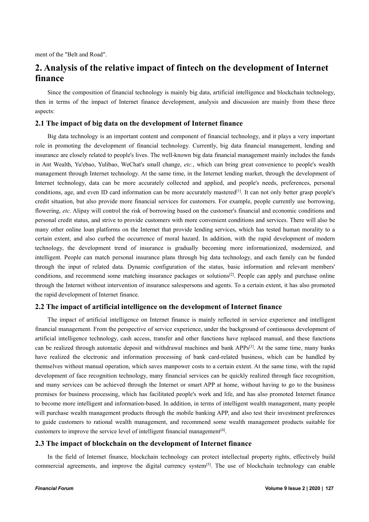### **2. Analysis ofthe relative impact of fintech on the development of Internet finance**

Since the composition of financial technology is mainly big data, artificial intelligence and blockchain technology, then in terms of the impact of Internet finance development, analysis and discussion are mainly from these three aspects:

#### **2.1 The impact of big data on the development of Internet finance**

Big data technology is an important content and component of financial technology, and it plays a very important role in promoting the development of financial technology. Currently, big data financial management, lending and insurance are closely related to people's lives. The well-known big data financial management mainly includes the funds in Ant Wealth, Yu'ebao, Yulibao, WeChat's small change, *etc.*, which can bring great convenience to people's wealth management through Internet technology. At the same time, in the Internet lending market, through the development of Internet technology, data can be more accurately collected and applied, and people's needs, preferences, personal conditions, age, and even ID card information can be more accurately mastered<sup>[1]</sup>. It can not only better grasp people's credit situation, but also provide more financial services for customers. For example, people currently use borrowing, flowering, *etc.* Alipay will control the risk of borrowing based on the customer's financial and economic conditions and personal credit status, and strive to provide customers with more convenient conditions and services. There will also be many other online loan platforms on the Internet that provide lending services, which has tested human morality to a certain extent, and also curbed the occurrence of moral hazard. In addition, with the rapid development of modern technology, the development trend of insurance is gradually becoming more informationized, modernized, and intelligent. People can match personal insurance plans through big data technology, and each family can be funded through the input of related data. Dynamic configuration of the status, basic information and relevant members' conditions, and recommend some matching insurance packages or solutions [2]. People can apply and purchase online through the Internet without intervention of insurance salespersons and agents. To a certain extent, it has also promoted the rapid development of Internet finance.

#### **2.2 The impact of artificial intelligence on the development of Internet finance**

The impact of artificial intelligence on Internet finance is mainly reflected in service experience and intelligent financial management. From the perspective of service experience, under the background of continuous development of artificial intelligence technology, cash access, transfer and other functions have replaced manual, and these functions can be realized through automatic deposit and withdrawal machines and bank APPs [3]. At the same time, many banks have realized the electronic and information processing of bank card-related business, which can be handled by themselves without manual operation, which saves manpower costs to a certain extent. Atthe same time, with the rapid development of face recognition technology, many financial services can be quickly realized through face recognition, and many services can be achieved through the Internet or smart APP at home, without having to go to the business premises for business processing, which has facilitated people's work and life, and has also promoted Internet finance to become more intelligent and information-based. In addition, in terms of intelligent wealth management, many people will purchase wealth management products through the mobile banking APP, and also test their investment preferences to guide customers to rational wealth management, and recommend some wealth management products suitable for customers to improve the service level of intelligent financial management [4].

#### **2.3 The impact of blockchain on the development of Internet finance**

In the field of Internet finance, blockchain technology can protect intellectual property rights, effectively build commercial agreements, and improve the digital currency system<sup>[5]</sup>. The use of blockchain technology can enable